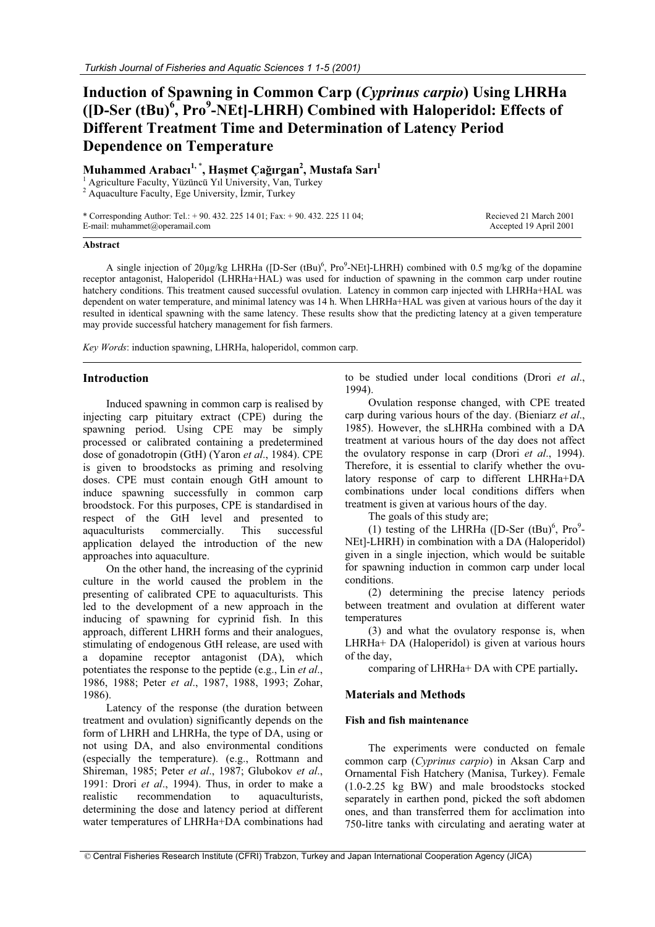# **Induction of Spawning in Common Carp (***Cyprinus carpio***) Using LHRHa ([D-Ser (tBu)<sup>6</sup> , Pro<sup>9</sup> -NEt]-LHRH) Combined with Haloperidol: Effects of Different Treatment Time and Determination of Latency Period Dependence on Temperature**

# **Muhammed Arabacı1,** \* **, Haúmet Ça÷ırgan<sup>2</sup> , Mustafa Sarı<sup>1</sup>**

<sup>1</sup> Agriculture Faculty, Yüzüncü Yıl University, Van, Turkey <sup>2</sup> Aquaculture Faculty, Ege University, İzmir, Turkey

\* Corresponding Author: Tel.: + 90. 432. 225 14 01; Fax: + 90. 432. 225 11 04; E-mail: muhammet@operamail.com

Recieved 21 March 2001 Accepted 19 April 2001

#### **Abstract**

A single injection of 20µg/kg LHRHa ([D-Ser (tBu)<sup>6</sup>, Pro<sup>9</sup>-NEt]-LHRH) combined with 0.5 mg/kg of the dopamine receptor antagonist, Haloperidol (LHRHa+HAL) was used for induction of spawning in the common carp under routine hatchery conditions. This treatment caused successful ovulation. Latency in common carp injected with LHRHa+HAL was dependent on water temperature, and minimal latency was 14 h. When LHRHa+HAL was given at various hours of the day it resulted in identical spawning with the same latency. These results show that the predicting latency at a given temperature may provide successful hatchery management for fish farmers.

*Key Words*: induction spawning, LHRHa, haloperidol, common carp.

## **Introduction**

Induced spawning in common carp is realised by injecting carp pituitary extract (CPE) during the spawning period. Using CPE may be simply processed or calibrated containing a predetermined dose of gonadotropin (GtH) (Yaron *et al*., 1984). CPE is given to broodstocks as priming and resolving doses. CPE must contain enough GtH amount to induce spawning successfully in common carp broodstock. For this purposes, CPE is standardised in respect of the GtH level and presented to aquaculturists commercially. This successful application delayed the introduction of the new approaches into aquaculture.

On the other hand, the increasing of the cyprinid culture in the world caused the problem in the presenting of calibrated CPE to aquaculturists. This led to the development of a new approach in the inducing of spawning for cyprinid fish. In this approach, different LHRH forms and their analogues, stimulating of endogenous GtH release, are used with a dopamine receptor antagonist (DA), which potentiates the response to the peptide (e.g., Lin *et al*., 1986, 1988; Peter *et al*., 1987, 1988, 1993; Zohar, 1986).

Latency of the response (the duration between treatment and ovulation) significantly depends on the form of LHRH and LHRHa, the type of DA, using or not using DA, and also environmental conditions (especially the temperature). (e.g., Rottmann and Shireman, 1985; Peter *et al*., 1987; Glubokov *et al*., 1991: Drori *et al*., 1994). Thus, in order to make a realistic recommendation to aquaculturists, determining the dose and latency period at different water temperatures of LHRHa+DA combinations had to be studied under local conditions (Drori *et al*., 1994).

Ovulation response changed, with CPE treated carp during various hours of the day. (Bieniarz *et al*., 1985). However, the sLHRHa combined with a DA treatment at various hours of the day does not affect the ovulatory response in carp (Drori *et al*., 1994). Therefore, it is essential to clarify whether the ovulatory response of carp to different LHRHa+DA combinations under local conditions differs when treatment is given at various hours of the day.

The goals of this study are;

(1) testing of the LHRHa ([D-Ser  $(tBu)^6$ , Pro<sup>9</sup>-NEt]-LHRH) in combination with a DA (Haloperidol) given in a single injection, which would be suitable for spawning induction in common carp under local conditions.

(2) determining the precise latency periods between treatment and ovulation at different water temperatures

(3) and what the ovulatory response is, when LHRHa+ DA (Haloperidol) is given at various hours of the day,

comparing of LHRHa+ DA with CPE partially**.**

#### **Materials and Methods**

#### **Fish and fish maintenance**

The experiments were conducted on female common carp (*Cyprinus carpio*) in Aksan Carp and Ornamental Fish Hatchery (Manisa, Turkey). Female (1.0-2.25 kg BW) and male broodstocks stocked separately in earthen pond, picked the soft abdomen ones, and than transferred them for acclimation into 750-litre tanks with circulating and aerating water at

© Central Fisheries Research Institute (CFRI) Trabzon, Turkey and Japan International Cooperation Agency (JICA)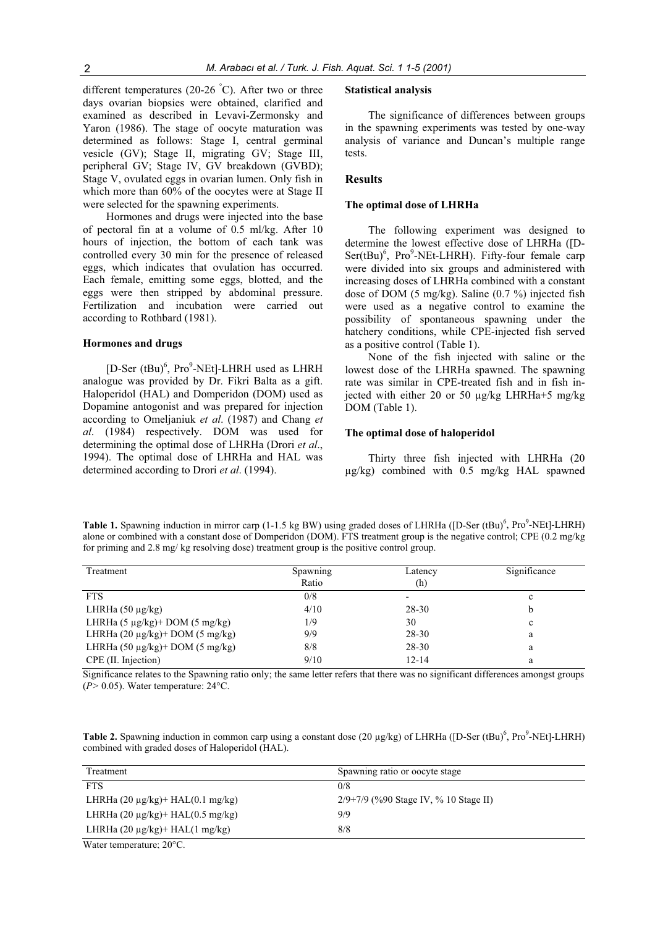different temperatures (20-26  $\degree$ C). After two or three days ovarian biopsies were obtained, clarified and examined as described in Levavi-Zermonsky and Yaron (1986). The stage of oocyte maturation was determined as follows: Stage I, central germinal vesicle (GV); Stage II, migrating GV; Stage III, peripheral GV; Stage IV, GV breakdown (GVBD); Stage V, ovulated eggs in ovarian lumen. Only fish in which more than 60% of the oocytes were at Stage II were selected for the spawning experiments.

Hormones and drugs were injected into the base of pectoral fin at a volume of 0.5 ml/kg. After 10 hours of injection, the bottom of each tank was controlled every 30 min for the presence of released eggs, which indicates that ovulation has occurred. Each female, emitting some eggs, blotted, and the eggs were then stripped by abdominal pressure. Fertilization and incubation were carried out according to Rothbard (1981).

#### **Hormones and drugs**

[D-Ser (tBu)<sup>6</sup>, Pro<sup>9</sup>-NEt]-LHRH used as LHRH analogue was provided by Dr. Fikri Balta as a gift. Haloperidol (HAL) and Domperidon (DOM) used as Dopamine antogonist and was prepared for injection according to Omeljaniuk *et al*. (1987) and Chang *et al*. (1984) respectively. DOM was used for determining the optimal dose of LHRHa (Drori *et al*., 1994). The optimal dose of LHRHa and HAL was determined according to Drori *et al*. (1994).

#### **Statistical analysis**

The significance of differences between groups in the spawning experiments was tested by one-way analysis of variance and Duncan's multiple range tests.

# **Results**

#### **The optimal dose of LHRHa**

The following experiment was designed to determine the lowest effective dose of LHRHa ([D- $Ser(tBu)^6$ ,  $Pro^9$ -NEt-LHRH). Fifty-four female carp were divided into six groups and administered with increasing doses of LHRHa combined with a constant dose of DOM (5 mg/kg). Saline (0.7 %) injected fish were used as a negative control to examine the possibility of spontaneous spawning under the hatchery conditions, while CPE-injected fish served as a positive control (Table 1).

None of the fish injected with saline or the lowest dose of the LHRHa spawned. The spawning rate was similar in CPE-treated fish and in fish injected with either 20 or 50 µg/kg LHRHa+5 mg/kg DOM (Table 1).

#### **The optimal dose of haloperidol**

Thirty three fish injected with LHRHa (20 µg/kg) combined with 0.5 mg/kg HAL spawned

Table 1. Spawning induction in mirror carp (1-1.5 kg BW) using graded doses of LHRHa ([D-Ser (tBu)<sup>6</sup>, Pro<sup>9</sup>-NEt]-LHRH) alone or combined with a constant dose of Domperidon (DOM). FTS treatment group is the negative control; CPE (0.2 mg/kg for priming and 2.8 mg/ kg resolving dose) treatment group is the positive control group.

| Treatment                                  | Spawning<br>Ratio | Latency<br>(h)           | Significance |
|--------------------------------------------|-------------------|--------------------------|--------------|
| <b>FTS</b>                                 | 0/8               | $\overline{\phantom{0}}$ | c            |
| LHRHa $(50 \mu g/kg)$                      | 4/10              | 28-30                    | b            |
| LHRHa $(5 \mu g/kg)$ + DOM $(5 \mu g/kg)$  | 1/9               | 30                       | c            |
| LHRHa $(20 \mu g/kg)$ + DOM $(5 \mu g/kg)$ | 9/9               | 28-30                    | a            |
| LHRHa $(50 \mu g/kg)$ + DOM $(5 \mu g/kg)$ | 8/8               | 28-30                    | a            |
| CPE (II. Injection)                        | 9/10              | $12 - 14$                | a            |

Significance relates to the Spawning ratio only; the same letter refers that there was no significant differences amongst groups (*P>* 0.05). Water temperature: 24°C.

Table 2. Spawning induction in common carp using a constant dose (20 µg/kg) of LHRHa ([D-Ser (tBu)<sup>6</sup>, Pro<sup>9</sup>-NEt]-LHRH) combined with graded doses of Haloperidol (HAL).

| Treatment                                    | Spawning ratio or oocyte stage          |
|----------------------------------------------|-----------------------------------------|
| <b>FTS</b>                                   | 0/8                                     |
| LHRHa $(20 \mu g/kg)$ + HAL $(0.1 \mu g/kg)$ | $2/9+7/9$ (%90 Stage IV, % 10 Stage II) |
| LHRHa $(20 \mu g/kg)$ + HAL $(0.5 \mu g/kg)$ | 9/9                                     |
| LHRHa $(20 \mu g/kg)$ + HAL $(1 \mu g/kg)$   | 8/8                                     |

Water temperature; 20°C.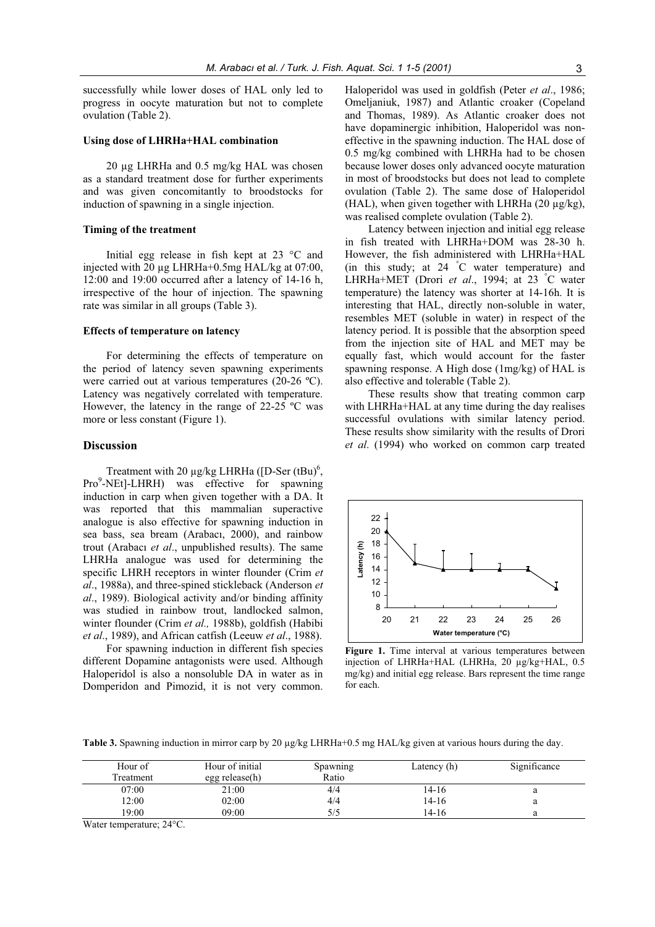successfully while lower doses of HAL only led to progress in oocyte maturation but not to complete ovulation (Table 2).

#### **Using dose of LHRHa+HAL combination**

20 µg LHRHa and 0.5 mg/kg HAL was chosen as a standard treatment dose for further experiments and was given concomitantly to broodstocks for induction of spawning in a single injection.

#### **Timing of the treatment**

Initial egg release in fish kept at 23 °C and injected with 20 µg LHRHa+0.5mg HAL/kg at 07:00, 12:00 and 19:00 occurred after a latency of 14-16 h, irrespective of the hour of injection. The spawning rate was similar in all groups (Table 3).

## **Effects of temperature on latency**

For determining the effects of temperature on the period of latency seven spawning experiments were carried out at various temperatures (20-26 ºC). Latency was negatively correlated with temperature. However, the latency in the range of 22-25 ºC was more or less constant (Figure 1).

#### **Discussion**

Treatment with 20  $\mu$ g/kg LHRHa ([D-Ser (tBu)<sup>6</sup>, Pro<sup>9</sup>-NEt]-LHRH) was effective for spawning induction in carp when given together with a DA. It was reported that this mammalian superactive analogue is also effective for spawning induction in sea bass, sea bream (Arabacı, 2000), and rainbow trout (Arabacı *et al*., unpublished results). The same LHRHa analogue was used for determining the specific LHRH receptors in winter flounder (Crim *et al*., 1988a), and three-spined stickleback (Anderson *et al*., 1989). Biological activity and/or binding affinity was studied in rainbow trout, landlocked salmon, winter flounder (Crim *et al.,* 1988b), goldfish (Habibi *et al*., 1989), and African catfish (Leeuw *et al*., 1988).

For spawning induction in different fish species different Dopamine antagonists were used. Although Haloperidol is also a nonsoluble DA in water as in Domperidon and Pimozid, it is not very common.

Haloperidol was used in goldfish (Peter *et al*., 1986; Omeljaniuk, 1987) and Atlantic croaker (Copeland and Thomas, 1989). As Atlantic croaker does not have dopaminergic inhibition, Haloperidol was noneffective in the spawning induction. The HAL dose of 0.5 mg/kg combined with LHRHa had to be chosen because lower doses only advanced oocyte maturation in most of broodstocks but does not lead to complete ovulation (Table 2). The same dose of Haloperidol (HAL), when given together with LHRHa  $(20 \text{ kg/kg})$ , was realised complete ovulation (Table 2).

Latency between injection and initial egg release in fish treated with LHRHa+DOM was 28-30 h. However, the fish administered with LHRHa+HAL (in this study; at 24 ° C water temperature) and LHRHa+MET (Drori *et al*., 1994; at 23 ° C water temperature) the latency was shorter at 14-16h. It is interesting that HAL, directly non-soluble in water, resembles MET (soluble in water) in respect of the latency period. It is possible that the absorption speed from the injection site of HAL and MET may be equally fast, which would account for the faster spawning response. A High dose (1mg/kg) of HAL is also effective and tolerable (Table 2).

These results show that treating common carp with LHRHa+HAL at any time during the day realises successful ovulations with similar latency period. These results show similarity with the results of Drori *et al*. (1994) who worked on common carp treated



**Figure 1.** Time interval at various temperatures between injection of LHRHa+HAL (LHRHa, 20 µg/kg+HAL, 0.5 mg/kg) and initial egg release. Bars represent the time range for each.

**Table 3.** Spawning induction in mirror carp by 20 µg/kg LHRHa+0.5 mg HAL/kg given at various hours during the day.

| Hour of   | Hour of initial  | Spawning | Latency (h) | Significance |
|-----------|------------------|----------|-------------|--------------|
| Treatment | $egg$ release(h) | Ratio    |             |              |
| 07:00     | 21:00            | 4/4      | 14-16       | а            |
| 12:00     | 02:00            | 4/4      | 14-16       | a            |
| 19:00     | 09:00            | 5/5      | 14-16       | a            |

Water temperature; 24°C.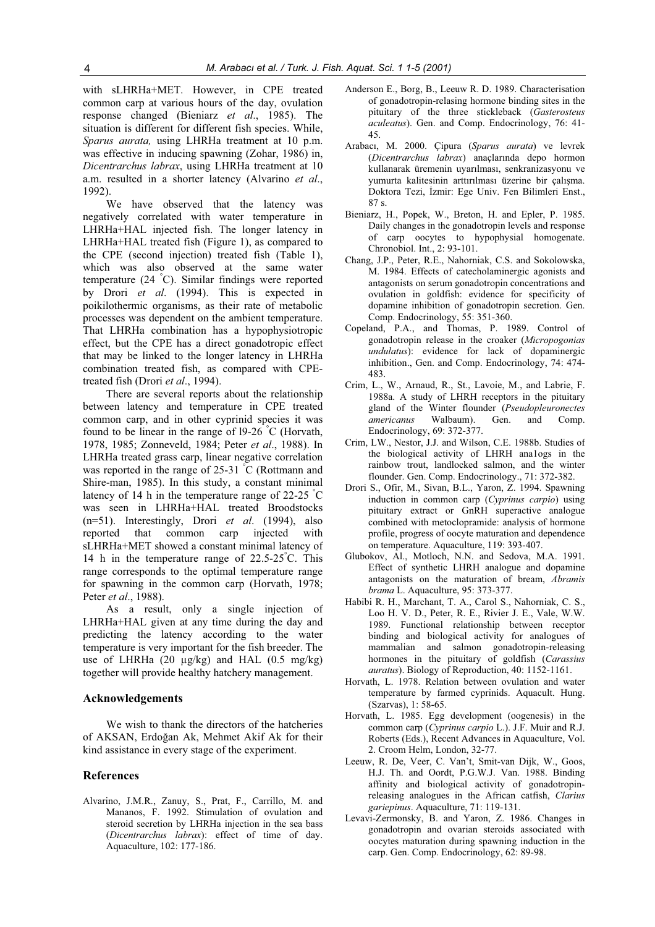with sLHRHa+MET. However, in CPE treated common carp at various hours of the day, ovulation response changed (Bieniarz *et al*., 1985). The situation is different for different fish species. While, *Sparus aurata,* using LHRHa treatment at 10 p.m. was effective in inducing spawning (Zohar, 1986) in, *Dicentrarchus labrax*, using LHRHa treatment at 10 a.m. resulted in a shorter latency (Alvarino *et al*., 1992).

We have observed that the latency was negatively correlated with water temperature in LHRHa+HAL injected fish. The longer latency in LHRHa+HAL treated fish (Figure 1), as compared to the CPE (second injection) treated fish (Table 1), which was also observed at the same water temperature (24 ° C). Similar findings were reported by Drori *et al*. (1994). This is expected in poikilothermic organisms, as their rate of metabolic processes was dependent on the ambient temperature. That LHRHa combination has a hypophysiotropic effect, but the CPE has a direct gonadotropic effect that may be linked to the longer latency in LHRHa combination treated fish, as compared with CPEtreated fish (Drori *et al*., 1994).

There are several reports about the relationship between latency and temperature in CPE treated common carp, and in other cyprinid species it was found to be linear in the range of  $19-26$ °C (Horvath, 1978, 1985; Zonneveld, 1984; Peter *et al*., 1988). In LHRHa treated grass carp, linear negative correlation was reported in the range of 25-31 °C (Rottmann and Shire-man, 1985). In this study, a constant minimal latency of 14 h in the temperature range of 22-25  $^{\circ}$ C was seen in LHRHa+HAL treated Broodstocks (n=51). Interestingly, Drori *et al*. (1994), also reported that common carp injected with sLHRHa+MET showed a constant minimal latency of 14 h in the temperature range of 22.5-25° C. This range corresponds to the optimal temperature range for spawning in the common carp (Horvath, 1978; Peter *et al*., 1988).

As a result, only a single injection of LHRHa+HAL given at any time during the day and predicting the latency according to the water temperature is very important for the fish breeder. The use of LHRHa (20  $\mu$ g/kg) and HAL (0.5 mg/kg) together will provide healthy hatchery management.

#### **Acknowledgements**

We wish to thank the directors of the hatcheries of AKSAN, Erdoğan Ak, Mehmet Akif Ak for their kind assistance in every stage of the experiment.

# **References**

Alvarino, J.M.R., Zanuy, S., Prat, F., Carrillo, M. and Mananos, F. 1992. Stimulation of ovulation and steroid secretion by LHRHa injection in the sea bass (*Dicentrarchus labrax*): effect of time of day. Aquaculture, 102: 177-186.

- Anderson E., Borg, B., Leeuw R. D. 1989. Characterisation of gonadotropin-relasing hormone binding sites in the pituitary of the three stickleback (*Gasterosteus aculeatus*). Gen. and Comp. Endocrinology, 76: 41- 45.
- Arabacı, M. 2000. Çipura (*Sparus aurata*) ve levrek (*Dicentrarchus labrax*) anaçlarında depo hormon kullanarak üremenin uyarılması, senkranizasyonu ve yumurta kalitesinin arttırılması üzerine bir çalışma. Doktora Tezi, İzmir: Ege Univ. Fen Bilimleri Enst., 87 s.
- Bieniarz, H., Popek, W., Breton, H. and Epler, P. 1985. Daily changes in the gonadotropin levels and response of carp oocytes to hypophysial homogenate. Chronobiol. Int., 2: 93-101.
- Chang, J.P., Peter, R.E., Nahorniak, C.S. and Sokolowska, M. 1984. Effects of catecholaminergic agonists and antagonists on serum gonadotropin concentrations and ovulation in goldfish: evidence for specificity of dopamine inhibition of gonadotropin secretion. Gen. Comp. Endocrinology, 55: 351-360.
- Copeland, P.A., and Thomas, P. 1989. Control of gonadotropin release in the croaker (*Micropogonias undulatus*): evidence for lack of dopaminergic inhibition., Gen. and Comp. Endocrinology, 74: 474- 483.
- Crim, L., W., Arnaud, R., St., Lavoie, M., and Labrie, F. 1988a. A study of LHRH receptors in the pituitary gland of the Winter flounder (*Pseudopleuronectes americanus* Walbaum). Gen. and Comp. Endocrinology, 69: 372-377.
- Crim, LW., Nestor, J.J. and Wilson, C.E. 1988b. Studies of the biological activity of LHRH ana1ogs in the rainbow trout, landlocked salmon, and the winter flounder. Gen. Comp. Endocrinology., 71: 372-382.
- Drori S., Ofir, M., Sivan, B.L., Yaron, Z. 1994. Spawning induction in common carp (*Cyprinus carpio*) using pituitary extract or GnRH superactive analogue combined with metoclopramide: analysis of hormone profile, progress of oocyte maturation and dependence on temperature. Aquaculture, 119: 393-407.
- Glubokov, Al., Motloch, N.N. and Sedova, M.A. 1991. Effect of synthetic LHRH analogue and dopamine antagonists on the maturation of bream, *Abramis brama* L. Aquaculture, 95: 373-377.
- Habibi R. H., Marchant, T. A., Carol S., Nahorniak, C. S., Loo H. V. D., Peter, R. E., Rivier J. E., Vale, W.W. 1989. Functional relationship between receptor binding and biological activity for analogues of mammalian and salmon gonadotropin-releasing hormones in the pituitary of goldfish (*Carassius auratus*). Biology of Reproduction, 40: 1152-1161.
- Horvath, L. 1978. Relation between ovulation and water temperature by farmed cyprinids. Aquacult. Hung. (Szarvas), 1: 58-65.
- Horvath, L. 1985. Egg development (oogenesis) in the common carp (*Cyprinus carpio* L.). J.F. Muir and R.J. Roberts (Eds.), Recent Advances in Aquaculture, Vol. 2. Croom Helm, London, 32-77.
- Leeuw, R. De, Veer, C. Van't, Smit-van Dijk, W., Goos, H.J. Th. and Oordt, P.G.W.J. Van. 1988. Binding affinity and biological activity of gonadotropinreleasing analogues in the African catfish, *Clarius gariepinus*. Aquaculture, 71: 119-131.
- Levavi-Zermonsky, B. and Yaron, Z. 1986. Changes in gonadotropin and ovarian steroids associated with oocytes maturation during spawning induction in the carp. Gen. Comp. Endocrinology, 62: 89-98.